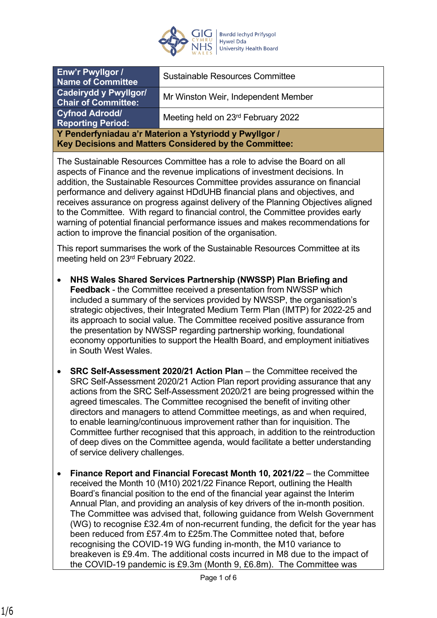

| <b>Enw'r Pwyllgor /</b><br><b>Name of Committee</b>                                                              | <b>Sustainable Resources Committee</b> |
|------------------------------------------------------------------------------------------------------------------|----------------------------------------|
| <b>Cadeirydd y Pwyllgor/</b><br><b>Chair of Committee:</b>                                                       | Mr Winston Weir, Independent Member    |
| <b>Cyfnod Adrodd/</b><br><b>Reporting Period:</b>                                                                | Meeting held on 23rd February 2022     |
| Y Penderfyniadau a'r Materion a Ystyriodd y Pwyllgor /<br>Key Decisions and Matters Considered by the Committee: |                                        |

The Sustainable Resources Committee has a role to advise the Board on all aspects of Finance and the revenue implications of investment decisions. In addition, the Sustainable Resources Committee provides assurance on financial performance and delivery against HDdUHB financial plans and objectives, and receives assurance on progress against delivery of the Planning Objectives aligned to the Committee. With regard to financial control, the Committee provides early warning of potential financial performance issues and makes recommendations for action to improve the financial position of the organisation.

This report summarises the work of the Sustainable Resources Committee at its meeting held on 23rd February 2022.

- **NHS Wales Shared Services Partnership (NWSSP) Plan Briefing and Feedback** - the Committee received a presentation from NWSSP which included a summary of the services provided by NWSSP, the organisation's strategic objectives, their Integrated Medium Term Plan (IMTP) for 2022-25 and its approach to social value. The Committee received positive assurance from the presentation by NWSSP regarding partnership working, foundational economy opportunities to support the Health Board, and employment initiatives in South West Wales.
- **SRC Self-Assessment 2020/21 Action Plan** the Committee received the SRC Self-Assessment 2020/21 Action Plan report providing assurance that any actions from the SRC Self-Assessment 2020/21 are being progressed within the agreed timescales. The Committee recognised the benefit of inviting other directors and managers to attend Committee meetings, as and when required, to enable learning/continuous improvement rather than for inquisition. The Committee further recognised that this approach, in addition to the reintroduction of deep dives on the Committee agenda, would facilitate a better understanding of service delivery challenges.
- **Finance Report and Financial Forecast Month 10, 2021/22** the Committee received the Month 10 (M10) 2021/22 Finance Report, outlining the Health Board's financial position to the end of the financial year against the Interim Annual Plan, and providing an analysis of key drivers of the in-month position. The Committee was advised that, following guidance from Welsh Government (WG) to recognise £32.4m of non-recurrent funding, the deficit for the year has been reduced from £57.4m to £25m.The Committee noted that, before recognising the COVID-19 WG funding in-month, the M10 variance to breakeven is £9.4m. The additional costs incurred in M8 due to the impact of the COVID-19 pandemic is £9.3m (Month 9, £6.8m). The Committee was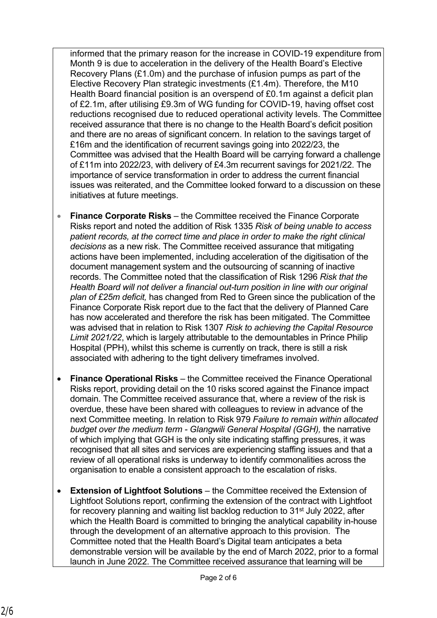informed that the primary reason for the increase in COVID-19 expenditure from Month 9 is due to acceleration in the delivery of the Health Board's Elective Recovery Plans (£1.0m) and the purchase of infusion pumps as part of the Elective Recovery Plan strategic investments (£1.4m). Therefore, the M10 Health Board financial position is an overspend of £0.1m against a deficit plan of £2.1m, after utilising £9.3m of WG funding for COVID-19, having offset cost reductions recognised due to reduced operational activity levels. The Committee received assurance that there is no change to the Health Board's deficit position and there are no areas of significant concern. In relation to the savings target of £16m and the identification of recurrent savings going into 2022/23, the Committee was advised that the Health Board will be carrying forward a challenge of £11m into 2022/23, with delivery of £4.3m recurrent savings for 2021/22. The importance of service transformation in order to address the current financial issues was reiterated, and the Committee looked forward to a discussion on these initiatives at future meetings.

- **Finance Corporate Risks** the Committee received the Finance Corporate Risks report and noted the addition of Risk 1335 *Risk of being unable to access patient records, at the correct time and place in order to make the right clinical decisions* as a new risk. The Committee received assurance that mitigating actions have been implemented, including acceleration of the digitisation of the document management system and the outsourcing of scanning of inactive records. The Committee noted that the classification of Risk 1296 *Risk that the Health Board will not deliver a financial out-turn position in line with our original plan of £25m deficit,* has changed from Red to Green since the publication of the Finance Corporate Risk report due to the fact that the delivery of Planned Care has now accelerated and therefore the risk has been mitigated. The Committee was advised that in relation to Risk 1307 *Risk to achieving the Capital Resource Limit 2021/22*, which is largely attributable to the demountables in Prince Philip Hospital (PPH), whilst this scheme is currently on track, there is still a risk associated with adhering to the tight delivery timeframes involved.
- **Finance Operational Risks** the Committee received the Finance Operational Risks report, providing detail on the 10 risks scored against the Finance impact domain. The Committee received assurance that, where a review of the risk is overdue, these have been shared with colleagues to review in advance of the next Committee meeting. In relation to Risk 979 *Failure to remain within allocated budget over the medium term - Glangwili General Hospital (GGH),* the narrative of which implying that GGH is the only site indicating staffing pressures, it was recognised that all sites and services are experiencing staffing issues and that a review of all operational risks is underway to identify commonalities across the organisation to enable a consistent approach to the escalation of risks.
- **Extension of Lightfoot Solutions**  the Committee received the Extension of Lightfoot Solutions report, confirming the extension of the contract with Lightfoot for recovery planning and waiting list backlog reduction to 31<sup>st</sup> July 2022, after which the Health Board is committed to bringing the analytical capability in-house through the development of an alternative approach to this provision. The Committee noted that the Health Board's Digital team anticipates a beta demonstrable version will be available by the end of March 2022, prior to a formal launch in June 2022. The Committee received assurance that learning will be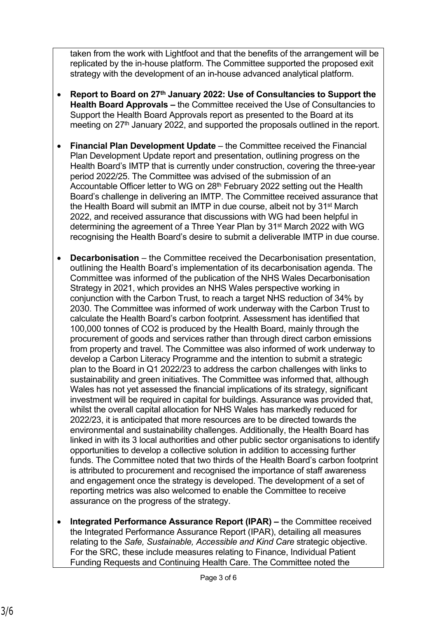taken from the work with Lightfoot and that the benefits of the arrangement will be replicated by the in-house platform. The Committee supported the proposed exit strategy with the development of an in-house advanced analytical platform.

- **Report to Board on 27th January 2022: Use of Consultancies to Support the Health Board Approvals –** the Committee received the Use of Consultancies to Support the Health Board Approvals report as presented to the Board at its meeting on  $27<sup>th</sup>$  January 2022, and supported the proposals outlined in the report.
- **Financial Plan Development Update** the Committee received the Financial Plan Development Update report and presentation, outlining progress on the Health Board's IMTP that is currently under construction, covering the three-year period 2022/25. The Committee was advised of the submission of an Accountable Officer letter to WG on 28th February 2022 setting out the Health Board's challenge in delivering an IMTP. The Committee received assurance that the Health Board will submit an IMTP in due course, albeit not by 31<sup>st</sup> March 2022, and received assurance that discussions with WG had been helpful in determining the agreement of a Three Year Plan by 31<sup>st</sup> March 2022 with WG recognising the Health Board's desire to submit a deliverable IMTP in due course.
- **Decarbonisation**  the Committee received the Decarbonisation presentation, outlining the Health Board's implementation of its decarbonisation agenda. The Committee was informed of the publication of the NHS Wales Decarbonisation Strategy in 2021, which provides an NHS Wales perspective working in conjunction with the Carbon Trust, to reach a target NHS reduction of 34% by 2030. The Committee was informed of work underway with the Carbon Trust to calculate the Health Board's carbon footprint. Assessment has identified that 100,000 tonnes of CO2 is produced by the Health Board, mainly through the procurement of goods and services rather than through direct carbon emissions from property and travel. The Committee was also informed of work underway to develop a Carbon Literacy Programme and the intention to submit a strategic plan to the Board in Q1 2022/23 to address the carbon challenges with links to sustainability and green initiatives. The Committee was informed that, although Wales has not yet assessed the financial implications of its strategy, significant investment will be required in capital for buildings. Assurance was provided that, whilst the overall capital allocation for NHS Wales has markedly reduced for 2022/23, it is anticipated that more resources are to be directed towards the environmental and sustainability challenges. Additionally, the Health Board has linked in with its 3 local authorities and other public sector organisations to identify opportunities to develop a collective solution in addition to accessing further funds. The Committee noted that two thirds of the Health Board's carbon footprint is attributed to procurement and recognised the importance of staff awareness and engagement once the strategy is developed. The development of a set of reporting metrics was also welcomed to enable the Committee to receive assurance on the progress of the strategy.
- **Integrated Performance Assurance Report (IPAR) the Committee received** the Integrated Performance Assurance Report (IPAR), detailing all measures relating to the *Safe, Sustainable, Accessible and Kind Care* strategic objective. For the SRC, these include measures relating to Finance, Individual Patient Funding Requests and Continuing Health Care. The Committee noted the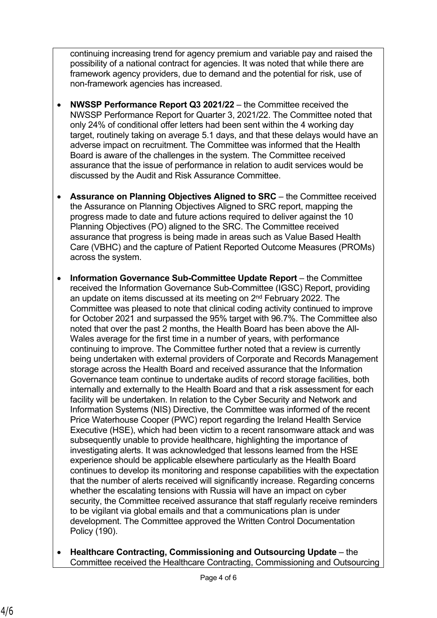continuing increasing trend for agency premium and variable pay and raised the possibility of a national contract for agencies. It was noted that while there are framework agency providers, due to demand and the potential for risk, use of non-framework agencies has increased.

- **NWSSP Performance Report Q3 2021/22** the Committee received the NWSSP Performance Report for Quarter 3, 2021/22. The Committee noted that only 24% of conditional offer letters had been sent within the 4 working day target, routinely taking on average 5.1 days, and that these delays would have an adverse impact on recruitment. The Committee was informed that the Health Board is aware of the challenges in the system. The Committee received assurance that the issue of performance in relation to audit services would be discussed by the Audit and Risk Assurance Committee.
- **Assurance on Planning Objectives Aligned to SRC** the Committee received the Assurance on Planning Objectives Aligned to SRC report, mapping the progress made to date and future actions required to deliver against the 10 Planning Objectives (PO) aligned to the SRC. The Committee received assurance that progress is being made in areas such as Value Based Health Care (VBHC) and the capture of Patient Reported Outcome Measures (PROMs) across the system.
- **Information Governance Sub-Committee Update Report** the Committee received the Information Governance Sub-Committee (IGSC) Report, providing an update on items discussed at its meeting on 2<sup>nd</sup> February 2022. The Committee was pleased to note that clinical coding activity continued to improve for October 2021 and surpassed the 95% target with 96.7%. The Committee also noted that over the past 2 months, the Health Board has been above the All-Wales average for the first time in a number of years, with performance continuing to improve. The Committee further noted that a review is currently being undertaken with external providers of Corporate and Records Management storage across the Health Board and received assurance that the Information Governance team continue to undertake audits of record storage facilities, both internally and externally to the Health Board and that a risk assessment for each facility will be undertaken. In relation to the Cyber Security and Network and Information Systems (NIS) Directive, the Committee was informed of the recent Price Waterhouse Cooper (PWC) report regarding the Ireland Health Service Executive (HSE), which had been victim to a recent ransomware attack and was subsequently unable to provide healthcare, highlighting the importance of investigating alerts. It was acknowledged that lessons learned from the HSE experience should be applicable elsewhere particularly as the Health Board continues to develop its monitoring and response capabilities with the expectation that the number of alerts received will significantly increase. Regarding concerns whether the escalating tensions with Russia will have an impact on cyber security, the Committee received assurance that staff regularly receive reminders to be vigilant via global emails and that a communications plan is under development. The Committee approved the Written Control Documentation Policy (190).
- **Healthcare Contracting, Commissioning and Outsourcing Update**  the Committee received the Healthcare Contracting, Commissioning and Outsourcing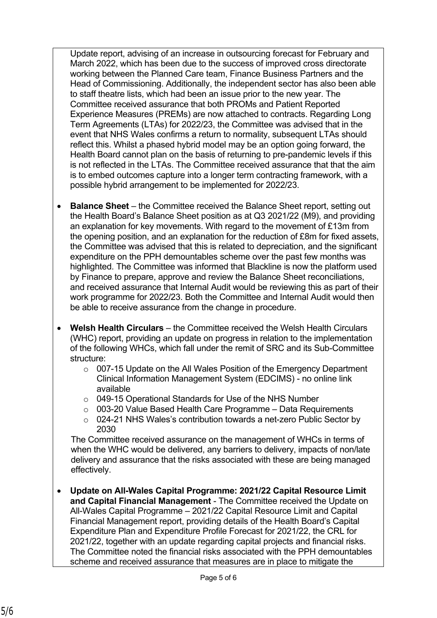Update report, advising of an increase in outsourcing forecast for February and March 2022, which has been due to the success of improved cross directorate working between the Planned Care team, Finance Business Partners and the Head of Commissioning. Additionally, the independent sector has also been able to staff theatre lists, which had been an issue prior to the new year. The Committee received assurance that both PROMs and Patient Reported Experience Measures (PREMs) are now attached to contracts. Regarding Long Term Agreements (LTAs) for 2022/23, the Committee was advised that in the event that NHS Wales confirms a return to normality, subsequent LTAs should reflect this. Whilst a phased hybrid model may be an option going forward, the Health Board cannot plan on the basis of returning to pre-pandemic levels if this is not reflected in the LTAs. The Committee received assurance that that the aim is to embed outcomes capture into a longer term contracting framework, with a possible hybrid arrangement to be implemented for 2022/23.

- **Balance Sheet** the Committee received the Balance Sheet report, setting out the Health Board's Balance Sheet position as at Q3 2021/22 (M9), and providing an explanation for key movements. With regard to the movement of £13m from the opening position, and an explanation for the reduction of £8m for fixed assets, the Committee was advised that this is related to depreciation, and the significant expenditure on the PPH demountables scheme over the past few months was highlighted. The Committee was informed that Blackline is now the platform used by Finance to prepare, approve and review the Balance Sheet reconciliations, and received assurance that Internal Audit would be reviewing this as part of their work programme for 2022/23. Both the Committee and Internal Audit would then be able to receive assurance from the change in procedure.
- **Welsh Health Circulars** the Committee received the Welsh Health Circulars (WHC) report, providing an update on progress in relation to the implementation of the following WHCs, which fall under the remit of SRC and its Sub-Committee structure:
	- o 007-15 Update on the All Wales Position of the Emergency Department Clinical Information Management System (EDCIMS) - no online link available
	- o 049-15 Operational Standards for Use of the NHS Number
	- o 003-20 Value Based Health Care Programme Data Requirements
	- o 024-21 NHS Wales's contribution towards a net-zero Public Sector by 2030

The Committee received assurance on the management of WHCs in terms of when the WHC would be delivered, any barriers to delivery, impacts of non/late delivery and assurance that the risks associated with these are being managed effectively.

 **Update on All-Wales Capital Programme: 2021/22 Capital Resource Limit and Capital Financial Management** - The Committee received the Update on All-Wales Capital Programme – 2021/22 Capital Resource Limit and Capital Financial Management report, providing details of the Health Board's Capital Expenditure Plan and Expenditure Profile Forecast for 2021/22, the CRL for 2021/22, together with an update regarding capital projects and financial risks. The Committee noted the financial risks associated with the PPH demountables scheme and received assurance that measures are in place to mitigate the